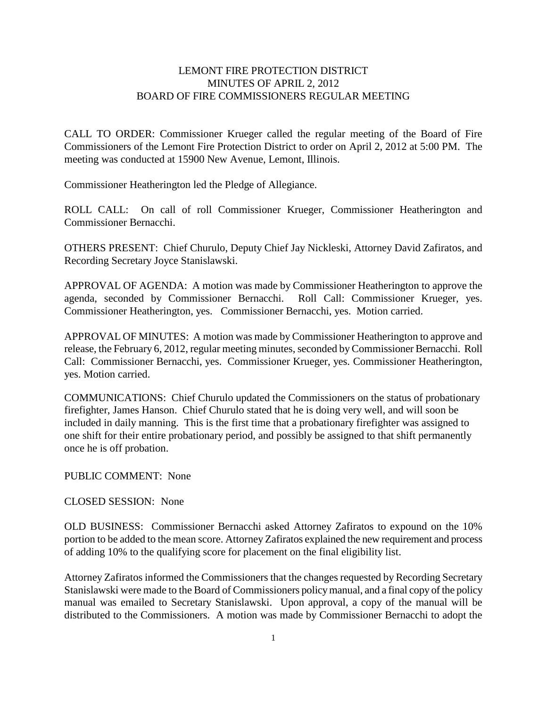## LEMONT FIRE PROTECTION DISTRICT MINUTES OF APRIL 2, 2012 BOARD OF FIRE COMMISSIONERS REGULAR MEETING

CALL TO ORDER: Commissioner Krueger called the regular meeting of the Board of Fire Commissioners of the Lemont Fire Protection District to order on April 2, 2012 at 5:00 PM. The meeting was conducted at 15900 New Avenue, Lemont, Illinois.

Commissioner Heatherington led the Pledge of Allegiance.

ROLL CALL: On call of roll Commissioner Krueger, Commissioner Heatherington and Commissioner Bernacchi.

OTHERS PRESENT: Chief Churulo, Deputy Chief Jay Nickleski, Attorney David Zafiratos, and Recording Secretary Joyce Stanislawski.

APPROVAL OF AGENDA: A motion was made by Commissioner Heatherington to approve the agenda, seconded by Commissioner Bernacchi. Roll Call: Commissioner Krueger, yes. Commissioner Heatherington, yes. Commissioner Bernacchi, yes. Motion carried.

APPROVAL OF MINUTES: A motion was made by Commissioner Heatherington to approve and release, the February 6, 2012, regular meeting minutes, seconded by Commissioner Bernacchi. Roll Call: Commissioner Bernacchi, yes. Commissioner Krueger, yes. Commissioner Heatherington, yes. Motion carried.

COMMUNICATIONS: Chief Churulo updated the Commissioners on the status of probationary firefighter, James Hanson. Chief Churulo stated that he is doing very well, and will soon be included in daily manning. This is the first time that a probationary firefighter was assigned to one shift for their entire probationary period, and possibly be assigned to that shift permanently once he is off probation.

PUBLIC COMMENT: None

CLOSED SESSION: None

OLD BUSINESS: Commissioner Bernacchi asked Attorney Zafiratos to expound on the 10% portion to be added to the mean score. Attorney Zafiratos explained the new requirement and process of adding 10% to the qualifying score for placement on the final eligibility list.

Attorney Zafiratos informed the Commissioners that the changes requested by Recording Secretary Stanislawski were made to the Board of Commissioners policy manual, and a final copy of the policy manual was emailed to Secretary Stanislawski. Upon approval, a copy of the manual will be distributed to the Commissioners. A motion was made by Commissioner Bernacchi to adopt the